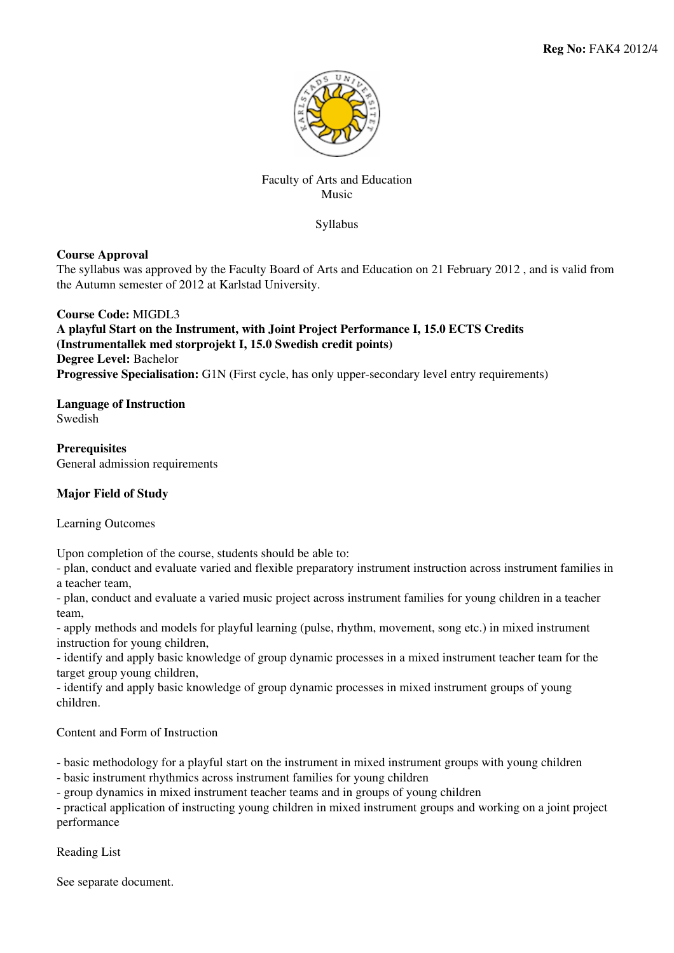

## Faculty of Arts and Education Music

Syllabus

# **Course Approval**

The syllabus was approved by the Faculty Board of Arts and Education on 21 February 2012 , and is valid from the Autumn semester of 2012 at Karlstad University.

**Course Code:** MIGDL3 **A playful Start on the Instrument, with Joint Project Performance I, 15.0 ECTS Credits (Instrumentallek med storprojekt I, 15.0 Swedish credit points) Degree Level:** Bachelor **Progressive Specialisation:** G1N (First cycle, has only upper-secondary level entry requirements)

**Language of Instruction Swedish** 

**Prerequisites** General admission requirements

## **Major Field of Study**

Learning Outcomes

Upon completion of the course, students should be able to:

- plan, conduct and evaluate varied and flexible preparatory instrument instruction across instrument families in a teacher team,

- plan, conduct and evaluate a varied music project across instrument families for young children in a teacher team,

- apply methods and models for playful learning (pulse, rhythm, movement, song etc.) in mixed instrument instruction for young children,

- identify and apply basic knowledge of group dynamic processes in a mixed instrument teacher team for the target group young children,

- identify and apply basic knowledge of group dynamic processes in mixed instrument groups of young children.

Content and Form of Instruction

- basic methodology for a playful start on the instrument in mixed instrument groups with young children

- basic instrument rhythmics across instrument families for young children

- group dynamics in mixed instrument teacher teams and in groups of young children

- practical application of instructing young children in mixed instrument groups and working on a joint project performance

Reading List

See separate document.